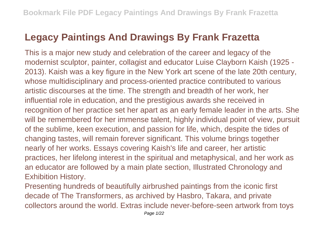## **Legacy Paintings And Drawings By Frank Frazetta**

This is a major new study and celebration of the career and legacy of the modernist sculptor, painter, collagist and educator Luise Clayborn Kaish (1925 - 2013). Kaish was a key figure in the New York art scene of the late 20th century, whose multidisciplinary and process-oriented practice contributed to various artistic discourses at the time. The strength and breadth of her work, her influential role in education, and the prestigious awards she received in recognition of her practice set her apart as an early female leader in the arts. She will be remembered for her immense talent, highly individual point of view, pursuit of the sublime, keen execution, and passion for life, which, despite the tides of changing tastes, will remain forever significant. This volume brings together nearly of her works. Essays covering Kaish's life and career, her artistic practices, her lifelong interest in the spiritual and metaphysical, and her work as an educator are followed by a main plate section, Illustrated Chronology and Exhibition History.

Presenting hundreds of beautifully airbrushed paintings from the iconic first decade of The Transformers, as archived by Hasbro, Takara, and private collectors around the world. Extras include never-before-seen artwork from toys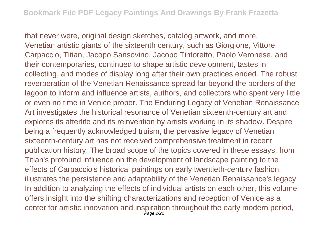that never were, original design sketches, catalog artwork, and more. Venetian artistic giants of the sixteenth century, such as Giorgione, Vittore Carpaccio, Titian, Jacopo Sansovino, Jacopo Tintoretto, Paolo Veronese, and their contemporaries, continued to shape artistic development, tastes in collecting, and modes of display long after their own practices ended. The robust reverberation of the Venetian Renaissance spread far beyond the borders of the lagoon to inform and influence artists, authors, and collectors who spent very little or even no time in Venice proper. The Enduring Legacy of Venetian Renaissance Art investigates the historical resonance of Venetian sixteenth-century art and explores its afterlife and its reinvention by artists working in its shadow. Despite being a frequently acknowledged truism, the pervasive legacy of Venetian sixteenth-century art has not received comprehensive treatment in recent publication history. The broad scope of the topics covered in these essays, from Titian's profound influence on the development of landscape painting to the effects of Carpaccio's historical paintings on early twentieth-century fashion, illustrates the persistence and adaptability of the Venetian Renaissance's legacy. In addition to analyzing the effects of individual artists on each other, this volume offers insight into the shifting characterizations and reception of Venice as a center for artistic innovation and inspiration throughout the early modern period, Page 2/22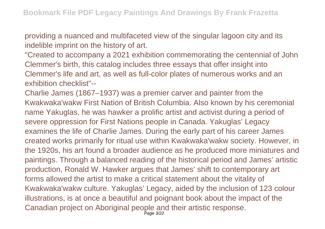providing a nuanced and multifaceted view of the singular lagoon city and its indelible imprint on the history of art.

"Created to accompany a 2021 exhibition commemorating the centennial of John Clemmer's birth, this catalog includes three essays that offer insight into Clemmer's life and art, as well as full-color plates of numerous works and an exhibition checklist"--

Charlie James (1867–1937) was a premier carver and painter from the Kwakwaka'wakw First Nation of British Columbia. Also known by his ceremonial name Yakuglas, he was hawker a prolific artist and activist during a period of severe oppression for First Nations people in Canada. Yakuglas' Legacy examines the life of Charlie James. During the early part of his career James created works primarily for ritual use within Kwakwaka'wakw society. However, in the 1920s, his art found a broader audience as he produced more miniatures and paintings. Through a balanced reading of the historical period and James' artistic production, Ronald W. Hawker argues that James' shift to contemporary art forms allowed the artist to make a critical statement about the vitality of Kwakwaka'wakw culture. Yakuglas' Legacy, aided by the inclusion of 123 colour illustrations, is at once a beautiful and poignant book about the impact of the Canadian project on Aboriginal people and their artistic response. Page 3/22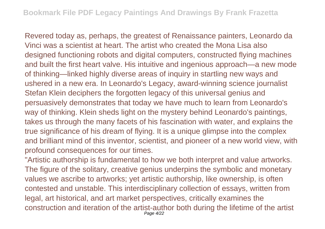Revered today as, perhaps, the greatest of Renaissance painters, Leonardo da Vinci was a scientist at heart. The artist who created the Mona Lisa also designed functioning robots and digital computers, constructed flying machines and built the first heart valve. His intuitive and ingenious approach—a new mode of thinking—linked highly diverse areas of inquiry in startling new ways and ushered in a new era. In Leonardo's Legacy, award-winning science journalist Stefan Klein deciphers the forgotten legacy of this universal genius and persuasively demonstrates that today we have much to learn from Leonardo's way of thinking. Klein sheds light on the mystery behind Leonardo's paintings, takes us through the many facets of his fascination with water, and explains the true significance of his dream of flying. It is a unique glimpse into the complex and brilliant mind of this inventor, scientist, and pioneer of a new world view, with profound consequences for our times.

"Artistic authorship is fundamental to how we both interpret and value artworks. The figure of the solitary, creative genius underpins the symbolic and monetary values we ascribe to artworks; yet artistic authorship, like ownership, is often contested and unstable. This interdisciplinary collection of essays, written from legal, art historical, and art market perspectives, critically examines the construction and iteration of the artist-author both during the lifetime of the artist Page 4/22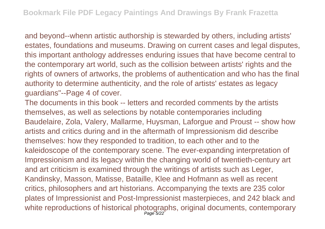and beyond--whenn artistic authorship is stewarded by others, including artists' estates, foundations and museums. Drawing on current cases and legal disputes, this important anthology addresses enduring issues that have become central to the contemporary art world, such as the collision between artists' rights and the rights of owners of artworks, the problems of authentication and who has the final authority to determine authenticity, and the role of artists' estates as legacy guardians"--Page 4 of cover.

The documents in this book -- letters and recorded comments by the artists themselves, as well as selections by notable contemporaries including Baudelaire, Zola, Valery, Mallarme, Huysman, Laforgue and Proust -- show how artists and critics during and in the aftermath of Impressionism did describe themselves: how they responded to tradition, to each other and to the kaleidoscope of the contemporary scene. The ever-expanding interpretation of Impressionism and its legacy within the changing world of twentieth-century art and art criticism is examined through the writings of artists such as Leger, Kandinsky, Masson, Matisse, Bataille, Klee and Hofmann as well as recent critics, philosophers and art historians. Accompanying the texts are 235 color plates of Impressionist and Post-Impressionist masterpieces, and 242 black and white reproductions of historical photographs, original documents, contemporary Page 5/22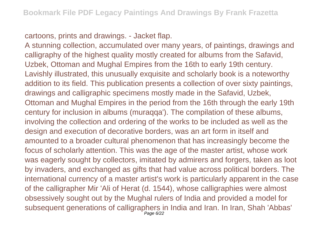cartoons, prints and drawings. - Jacket flap.

A stunning collection, accumulated over many years, of paintings, drawings and calligraphy of the highest quality mostly created for albums from the Safavid, Uzbek, Ottoman and Mughal Empires from the 16th to early 19th century. Lavishly illustrated, this unusually exquisite and scholarly book is a noteworthy addition to its field. This publication presents a collection of over sixty paintings, drawings and calligraphic specimens mostly made in the Safavid, Uzbek, Ottoman and Mughal Empires in the period from the 16th through the early 19th century for inclusion in albums (muraqqa'). The compilation of these albums, involving the collection and ordering of the works to be included as well as the design and execution of decorative borders, was an art form in itself and amounted to a broader cultural phenomenon that has increasingly become the focus of scholarly attention. This was the age of the master artist, whose work was eagerly sought by collectors, imitated by admirers and forgers, taken as loot by invaders, and exchanged as gifts that had value across political borders. The international currency of a master artist's work is particularly apparent in the case of the calligrapher Mir 'Ali of Herat (d. 1544), whose calligraphies were almost obsessively sought out by the Mughal rulers of India and provided a model for subsequent generations of calligraphers in India and Iran. In Iran, Shah 'Abbas' Page 6/22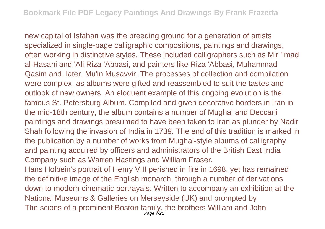new capital of Isfahan was the breeding ground for a generation of artists specialized in single-page calligraphic compositions, paintings and drawings, often working in distinctive styles. These included calligraphers such as Mir 'Imad al-Hasani and 'Ali Riza 'Abbasi, and painters like Riza 'Abbasi, Muhammad Qasim and, later, Mu'in Musavvir. The processes of collection and compilation were complex, as albums were gifted and reassembled to suit the tastes and outlook of new owners. An eloquent example of this ongoing evolution is the famous St. Petersburg Album. Compiled and given decorative borders in Iran in the mid-18th century, the album contains a number of Mughal and Deccani paintings and drawings presumed to have been taken to Iran as plunder by Nadir Shah following the invasion of India in 1739. The end of this tradition is marked in the publication by a number of works from Mughal-style albums of calligraphy and painting acquired by officers and administrators of the British East India Company such as Warren Hastings and William Fraser.

Hans Holbein's portrait of Henry VIII perished in fire in 1698, yet has remained the definitive image of the English monarch, through a number of derivations down to modern cinematic portrayals. Written to accompany an exhibition at the National Museums & Galleries on Merseyside (UK) and prompted by The scions of a prominent Boston family, the brothers William and John<br>Page 7/22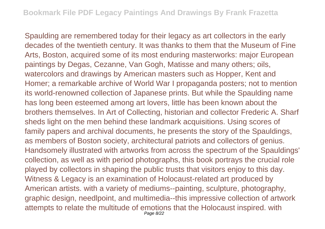Spaulding are remembered today for their legacy as art collectors in the early decades of the twentieth century. It was thanks to them that the Museum of Fine Arts, Boston, acquired some of its most enduring masterworks: major European paintings by Degas, Cezanne, Van Gogh, Matisse and many others; oils, watercolors and drawings by American masters such as Hopper, Kent and Homer; a remarkable archive of World War I propaganda posters; not to mention its world-renowned collection of Japanese prints. But while the Spaulding name has long been esteemed among art lovers, little has been known about the brothers themselves. In Art of Collecting, historian and collector Frederic A. Sharf sheds light on the men behind these landmark acquisitions. Using scores of family papers and archival documents, he presents the story of the Spauldings, as members of Boston society, architectural patriots and collectors of genius. Handsomely illustrated with artworks from across the spectrum of the Spauldings' collection, as well as with period photographs, this book portrays the crucial role played by collectors in shaping the public trusts that visitors enjoy to this day. Witness & Legacy is an examination of Holocaust-related art produced by American artists. with a variety of mediums--painting, sculpture, photography, graphic design, needlpoint, and multimedia--this impressive collection of artwork attempts to relate the multitude of emotions that the Holocaust inspired. with Page 8/22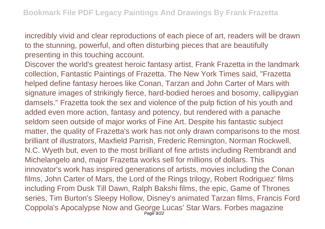incredibly vivid and clear reproductions of each piece of art, readers will be drawn to the stunning, powerful, and often disturbing pieces that are beautifully presenting in this touching account.

Discover the world's greatest heroic fantasy artist, Frank Frazetta in the landmark collection, Fantastic Paintings of Frazetta. The New York Times said, "Frazetta helped define fantasy heroes like Conan, Tarzan and John Carter of Mars with signature images of strikingly fierce, hard-bodied heroes and bosomy, callipygian damsels." Frazetta took the sex and violence of the pulp fiction of his youth and added even more action, fantasy and potency, but rendered with a panache seldom seen outside of major works of Fine Art. Despite his fantastic subject matter, the quality of Frazetta's work has not only drawn comparisons to the most brilliant of illustrators, Maxfield Parrish, Frederic Remington, Norman Rockwell, N.C. Wyeth but, even to the most brilliant of fine artists including Rembrandt and Michelangelo and, major Frazetta works sell for millions of dollars. This innovator's work has inspired generations of artists, movies including the Conan films, John Carter of Mars, the Lord of the Rings trilogy, Robert Rodriguez' films including From Dusk Till Dawn, Ralph Bakshi films, the epic, Game of Thrones series, Tim Burton's Sleepy Hollow, Disney's animated Tarzan films, Francis Ford Coppola's Apocalypse Now and George Lucas' Star Wars. Forbes magazine Page 9/22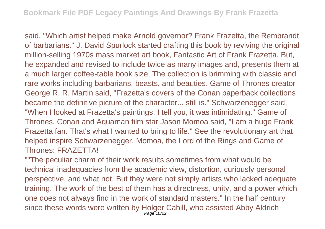said, "Which artist helped make Arnold governor? Frank Frazetta, the Rembrandt of barbarians." J. David Spurlock started crafting this book by reviving the original million-selling 1970s mass market art book, Fantastic Art of Frank Frazetta. But, he expanded and revised to include twice as many images and, presents them at a much larger coffee-table book size. The collection is brimming with classic and rare works including barbarians, beasts, and beauties. Game of Thrones creator George R. R. Martin said, "Frazetta's covers of the Conan paperback collections became the definitive picture of the character... still is." Schwarzenegger said, "When I looked at Frazetta's paintings, I tell you, it was intimidating." Game of Thrones, Conan and Aquaman film star Jason Momoa said, "I am a huge Frank Frazetta fan. That's what I wanted to bring to life." See the revolutionary art that helped inspire Schwarzenegger, Momoa, the Lord of the Rings and Game of Thrones: FRAZETTA!

""The peculiar charm of their work results sometimes from what would be technical inadequacies from the academic view, distortion, curiously personal perspective, and what not. But they were not simply artists who lacked adequate training. The work of the best of them has a directness, unity, and a power which one does not always find in the work of standard masters." In the half century since these words were written by Holger Cahill, who assisted Abby Aldrich Page 10/22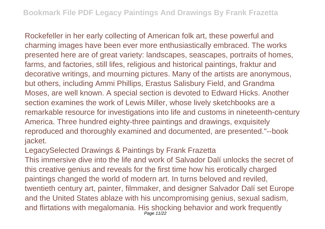Rockefeller in her early collecting of American folk art, these powerful and charming images have been ever more enthusiastically embraced. The works presented here are of great variety: landscapes, seascapes, portraits of homes, farms, and factories, still lifes, religious and historical paintings, fraktur and decorative writings, and mourning pictures. Many of the artists are anonymous, but others, including Ammi Phillips, Erastus Salisbury Field, and Grandma Moses, are well known. A special section is devoted to Edward Hicks. Another section examines the work of Lewis Miller, whose lively sketchbooks are a remarkable resource for investigations into life and customs in nineteenth-century America. Three hundred eighty-three paintings and drawings, exquisitely reproduced and thoroughly examined and documented, are presented."--book jacket.

LegacySelected Drawings & Paintings by Frank Frazetta

This immersive dive into the life and work of Salvador Dalí unlocks the secret of this creative genius and reveals for the first time how his erotically charged paintings changed the world of modern art. In turns beloved and reviled, twentieth century art, painter, filmmaker, and designer Salvador Dalí set Europe and the United States ablaze with his uncompromising genius, sexual sadism, and flirtations with megalomania. His shocking behavior and work frequently Page 11/22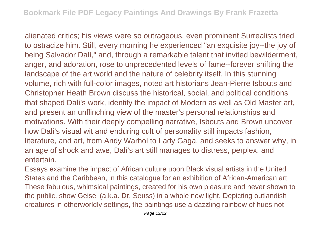alienated critics; his views were so outrageous, even prominent Surrealists tried to ostracize him. Still, every morning he experienced "an exquisite joy--the joy of being Salvador Dalí," and, through a remarkable talent that invited bewilderment, anger, and adoration, rose to unprecedented levels of fame--forever shifting the landscape of the art world and the nature of celebrity itself. In this stunning volume, rich with full-color images, noted art historians Jean-Pierre Isbouts and Christopher Heath Brown discuss the historical, social, and political conditions that shaped Dalí's work, identify the impact of Modern as well as Old Master art, and present an unflinching view of the master's personal relationships and motivations. With their deeply compelling narrative, Isbouts and Brown uncover how Dalí's visual wit and enduring cult of personality still impacts fashion, literature, and art, from Andy Warhol to Lady Gaga, and seeks to answer why, in an age of shock and awe, Dalí's art still manages to distress, perplex, and entertain.

Essays examine the impact of African culture upon Black visual artists in the United States and the Caribbean, in this catalogue for an exhibition of African-American art These fabulous, whimsical paintings, created for his own pleasure and never shown to the public, show Geisel (a.k.a. Dr. Seuss) in a whole new light. Depicting outlandish creatures in otherworldly settings, the paintings use a dazzling rainbow of hues not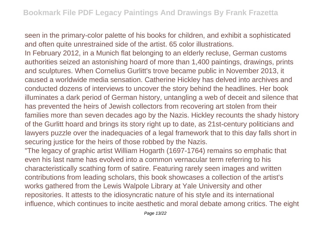seen in the primary-color palette of his books for children, and exhibit a sophisticated and often quite unrestrained side of the artist. 65 color illustrations.

In February 2012, in a Munich flat belonging to an elderly recluse, German customs authorities seized an astonishing hoard of more than 1,400 paintings, drawings, prints and sculptures. When Cornelius Gurlitt's trove became public in November 2013, it caused a worldwide media sensation. Catherine Hickley has delved into archives and conducted dozens of interviews to uncover the story behind the headlines. Her book illuminates a dark period of German history, untangling a web of deceit and silence that has prevented the heirs of Jewish collectors from recovering art stolen from their families more than seven decades ago by the Nazis. Hickley recounts the shady history of the Gurlitt hoard and brings its story right up to date, as 21st-century politicians and lawyers puzzle over the inadequacies of a legal framework that to this day falls short in securing justice for the heirs of those robbed by the Nazis.

"The legacy of graphic artist William Hogarth (1697-1764) remains so emphatic that even his last name has evolved into a common vernacular term referring to his characteristically scathing form of satire. Featuring rarely seen images and written contributions from leading scholars, this book showcases a collection of the artist's works gathered from the Lewis Walpole Library at Yale University and other repositories. It attests to the idiosyncratic nature of his style and its international influence, which continues to incite aesthetic and moral debate among critics. The eight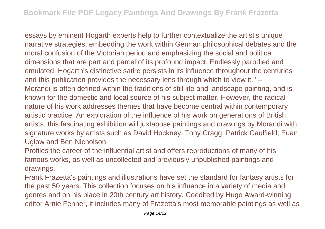essays by eminent Hogarth experts help to further contextualize the artist's unique narrative strategies, embedding the work within German philosophical debates and the moral confusion of the Victorian period and emphasizing the social and political dimensions that are part and parcel of its profound impact. Endlessly parodied and emulated, Hogarth's distinctive satire persists in its influence throughout the centuries and this publication provides the necessary lens through which to view it. "-- Morandi is often defined within the traditions of still life and landscape painting, and is known for the domestic and local source of his subject matter. However, the radical nature of his work addresses themes that have become central within contemporary artistic practice. An exploration of the influence of his work on generations of British artists, this fascinating exhibition will juxtapose paintings and drawings by Morandi with signature works by artists such as David Hockney, Tony Cragg, Patrick Caulfield, Euan Uglow and Ben Nicholson.

Profiles the career of the influential artist and offers reproductions of many of his famous works, as well as uncollected and previously unpublished paintings and drawings.

Frank Frazetta's paintings and illustrations have set the standard for fantasy artists for the past 50 years. This collection focuses on his influence in a variety of media and genres and on his place in 20th century art history. Coedited by Hugo Award-winning editor Arnie Fenner, it includes many of Frazetta's most memorable paintings as well as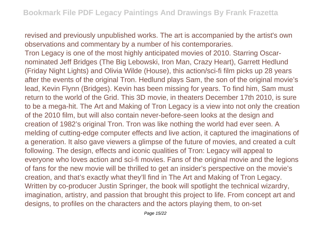revised and previously unpublished works. The art is accompanied by the artist's own observations and commentary by a number of his contemporaries.

Tron Legacy is one of the most highly anticipated movies of 2010. Starring Oscarnominated Jeff Bridges (The Big Lebowski, Iron Man, Crazy Heart), Garrett Hedlund (Friday Night Lights) and Olivia Wilde (House), this action/sci-fi film picks up 28 years after the events of the original Tron. Hedlund plays Sam, the son of the original movie's lead, Kevin Flynn (Bridges). Kevin has been missing for years. To find him, Sam must return to the world of the Grid. This 3D movie, in theaters December 17th 2010, is sure to be a mega-hit. The Art and Making of Tron Legacy is a view into not only the creation of the 2010 film, but will also contain never-before-seen looks at the design and creation of 1982's original Tron. Tron was like nothing the world had ever seen. A melding of cutting-edge computer effects and live action, it captured the imaginations of a generation. It also gave viewers a glimpse of the future of movies, and created a cult following. The design, effects and iconic qualities of Tron: Legacy will appeal to everyone who loves action and sci-fi movies. Fans of the original movie and the legions of fans for the new movie will be thrilled to get an insider's perspective on the movie's creation, and that's exactly what they'll find in The Art and Making of Tron Legacy. Written by co-producer Justin Springer, the book will spotlight the technical wizardry, imagination, artistry, and passion that brought this project to life. From concept art and designs, to profiles on the characters and the actors playing them, to on-set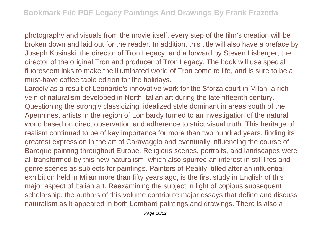photography and visuals from the movie itself, every step of the film's creation will be broken down and laid out for the reader. In addition, this title will also have a preface by Joseph Kosinski, the director of Tron Legacy; and a forward by Steven Lisberger, the director of the original Tron and producer of Tron Legacy. The book will use special fluorescent inks to make the illuminated world of Tron come to life, and is sure to be a must-have coffee table edition for the holidays.

Largely as a result of Leonardo's innovative work for the Sforza court in Milan, a rich vein of naturalism developed in North Italian art during the late fifteenth century. Questioning the strongly classicizing, idealized style dominant in areas south of the Apennines, artists in the region of Lombardy turned to an investigation of the natural world based on direct observation and adherence to strict visual truth. This heritage of realism continued to be of key importance for more than two hundred years, finding its greatest expression in the art of Caravaggio and eventually influencing the course of Baroque painting throughout Europe. Religious scenes, portraits, and landscapes were all transformed by this new naturalism, which also spurred an interest in still lifes and genre scenes as subjects for paintings. Painters of Reality, titled after an influential exhibition held in Milan more than fifty years ago, is the first study in English of this major aspect of Italian art. Reexamining the subject in light of copious subsequent scholarship, the authors of this volume contribute major essays that define and discuss naturalism as it appeared in both Lombard paintings and drawings. There is also a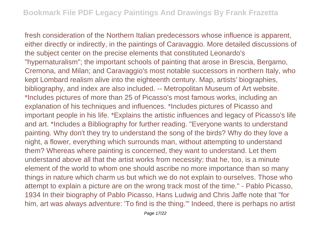fresh consideration of the Northern Italian predecessors whose influence is apparent, either directly or indirectly, in the paintings of Caravaggio. More detailed discussions of the subject center on the precise elements that constituted Leonardo's "hypernaturalism"; the important schools of painting that arose in Brescia, Bergamo, Cremona, and Milan; and Caravaggio's most notable successors in northern Italy, who kept Lombard realism alive into the eighteenth century. Map, artists' biographies, bibliography, and index are also included. -- Metropolitan Museum of Art website. \*Includes pictures of more than 25 of Picasso's most famous works, including an explanation of his techniques and influences. \*Includes pictures of Picasso and important people in his life. \*Explains the artistic influences and legacy of Picasso's life and art. \*Includes a Bibliography for further reading. "Everyone wants to understand painting. Why don't they try to understand the song of the birds? Why do they love a night, a flower, everything which surrounds man, without attempting to understand them? Whereas where painting is concerned, they want to understand. Let them understand above all that the artist works from necessity; that he, too, is a minute element of the world to whom one should ascribe no more importance than so many things in nature which charm us but which we do not explain to ourselves. Those who attempt to explain a picture are on the wrong track most of the time." - Pablo Picasso, 1934 In their biography of Pablo Picasso, Hans Ludwig and Chris Jaffe note that "for him, art was always adventure: 'To find is the thing.'" Indeed, there is perhaps no artist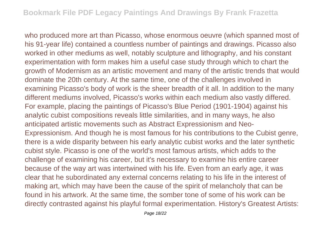who produced more art than Picasso, whose enormous oeuvre (which spanned most of his 91-year life) contained a countless number of paintings and drawings. Picasso also worked in other mediums as well, notably sculpture and lithography, and his constant experimentation with form makes him a useful case study through which to chart the growth of Modernism as an artistic movement and many of the artistic trends that would dominate the 20th century. At the same time, one of the challenges involved in examining Picasso's body of work is the sheer breadth of it all. In addition to the many different mediums involved, Picasso's works within each medium also vastly differed. For example, placing the paintings of Picasso's Blue Period (1901-1904) against his analytic cubist compositions reveals little similarities, and in many ways, he also anticipated artistic movements such as Abstract Expressionism and Neo-Expressionism. And though he is most famous for his contributions to the Cubist genre, there is a wide disparity between his early analytic cubist works and the later synthetic cubist style. Picasso is one of the world's most famous artists, which adds to the challenge of examining his career, but it's necessary to examine his entire career because of the way art was intertwined with his life. Even from an early age, it was clear that he subordinated any external concerns relating to his life in the interest of making art, which may have been the cause of the spirit of melancholy that can be found in his artwork. At the same time, the somber tone of some of his work can be directly contrasted against his playful formal experimentation. History's Greatest Artists: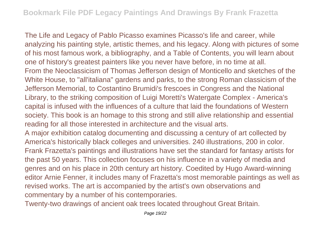The Life and Legacy of Pablo Picasso examines Picasso's life and career, while analyzing his painting style, artistic themes, and his legacy. Along with pictures of some of his most famous work, a bibliography, and a Table of Contents, you will learn about one of history's greatest painters like you never have before, in no time at all. From the Neoclassicism of Thomas Jefferson design of Monticello and sketches of the White House, to "all'italiana" gardens and parks, to the strong Roman classicism of the Jefferson Memorial, to Costantino Brumidi's frescoes in Congress and the National Library, to the striking composition of Luigi Moretti's Watergate Complex - America's capital is infused with the influences of a culture that laid the foundations of Western society. This book is an homage to this strong and still alive relationship and essential reading for all those interested in architecture and the visual arts. A major exhibition catalog documenting and discussing a century of art collected by America's historically black colleges and universities. 240 illustrations, 200 in color. Frank Frazetta's paintings and illustrations have set the standard for fantasy artists for the past 50 years. This collection focuses on his influence in a variety of media and genres and on his place in 20th century art history. Coedited by Hugo Award-winning

editor Arnie Fenner, it includes many of Frazetta's most memorable paintings as well as revised works. The art is accompanied by the artist's own observations and commentary by a number of his contemporaries.

Twenty-two drawings of ancient oak trees located throughout Great Britain.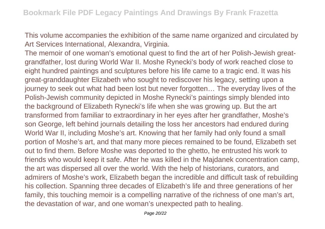This volume accompanies the exhibition of the same name organized and circulated by Art Services International, Alexandra, Virginia.

The memoir of one woman's emotional quest to find the art of her Polish-Jewish greatgrandfather, lost during World War II. Moshe Rynecki's body of work reached close to eight hundred paintings and sculptures before his life came to a tragic end. It was his great-granddaughter Elizabeth who sought to rediscover his legacy, setting upon a journey to seek out what had been lost but never forgotten… The everyday lives of the Polish-Jewish community depicted in Moshe Rynecki's paintings simply blended into the background of Elizabeth Rynecki's life when she was growing up. But the art transformed from familiar to extraordinary in her eyes after her grandfather, Moshe's son George, left behind journals detailing the loss her ancestors had endured during World War II, including Moshe's art. Knowing that her family had only found a small portion of Moshe's art, and that many more pieces remained to be found, Elizabeth set out to find them. Before Moshe was deported to the ghetto, he entrusted his work to friends who would keep it safe. After he was killed in the Majdanek concentration camp, the art was dispersed all over the world. With the help of historians, curators, and admirers of Moshe's work, Elizabeth began the incredible and difficult task of rebuilding his collection. Spanning three decades of Elizabeth's life and three generations of her family, this touching memoir is a compelling narrative of the richness of one man's art, the devastation of war, and one woman's unexpected path to healing.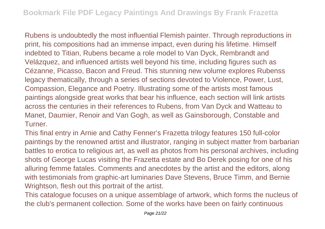Rubens is undoubtedly the most influential Flemish painter. Through reproductions in print, his compositions had an immense impact, even during his lifetime. Himself indebted to Titian, Rubens became a role model to Van Dyck, Rembrandt and Velázquez, and influenced artists well beyond his time, including figures such as Cézanne, Picasso, Bacon and Freud. This stunning new volume explores Rubenss legacy thematically, through a series of sections devoted to Violence, Power, Lust, Compassion, Elegance and Poetry. Illustrating some of the artists most famous paintings alongside great works that bear his influence, each section will link artists across the centuries in their references to Rubens, from Van Dyck and Watteau to Manet, Daumier, Renoir and Van Gogh, as well as Gainsborough, Constable and **Turner** 

This final entry in Arnie and Cathy Fenner's Frazetta trilogy features 150 full-color paintings by the renowned artist and illustrator, ranging in subject matter from barbarian battles to erotica to religious art, as well as photos from his personal archives, including shots of George Lucas visiting the Frazetta estate and Bo Derek posing for one of his alluring femme fatales. Comments and anecdotes by the artist and the editors, along with testimonials from graphic-art luminaries Dave Stevens, Bruce Timm, and Bernie Wrightson, flesh out this portrait of the artist.

This catalogue focuses on a unique assemblage of artwork, which forms the nucleus of the club's permanent collection. Some of the works have been on fairly continuous